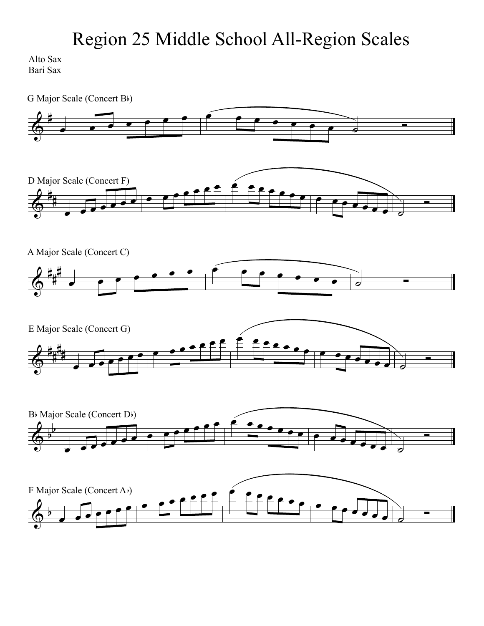Alto Sax Bari Sax

 $\Phi$ #  $\overline{\phantom{a}}$  $\overline{\phantom{0}}$  $\Phi$ i.  $\frac{1}{1}$ Scale (Concert F)<br>
and a second for the second for the second of  $\theta$  is a second of  $\theta$  or  $\theta$  or  $\theta$  or  $\theta$  or  $\theta$  or  $\theta$  or  $\theta$  or  $\theta$  or  $\theta$  or  $\theta$  or  $\theta$  or  $\theta$  or  $\theta$  or  $\theta$  or  $\theta$  or  $\theta$  or  $\theta$  or  $\Phi$ #  $\frac{1}{4}$ H<br>H  $\Phi$ # |<br>|} Ħ. #  $\begin{array}{c|c|c|c|c|c} \hline \bullet & \bullet & \bullet & \bullet \end{array}$ ▀░<br>▅▏▔▖▏▁▁▆▁▁░▏  $\overline{\Phi^{\flat}}$  $\frac{1}{2}$  $\sim$ G Major Scale (Concert B) D Major Scale (Concert F) A Major Scale (Concert C) E Major Scale (Concert G)  $B\flat$  Major Scale (Concert D $\flat$ )

 $\overline{ }$ 

 $\overline{\phantom{0}}$